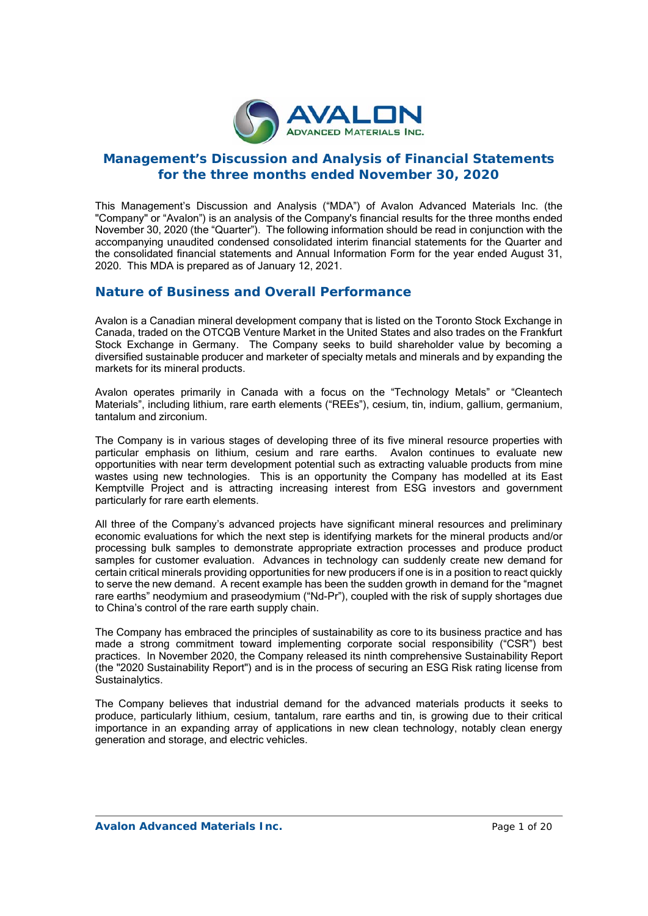

# **Management's Discussion and Analysis of Financial Statements for the three months ended November 30, 2020**

This Management's Discussion and Analysis ("MDA") of Avalon Advanced Materials Inc. (the "Company" or "Avalon") is an analysis of the Company's financial results for the three months ended November 30, 2020 (the "Quarter"). The following information should be read in conjunction with the accompanying unaudited condensed consolidated interim financial statements for the Quarter and the consolidated financial statements and Annual Information Form for the year ended August 31, 2020. This MDA is prepared as of January 12, 2021.

# **Nature of Business and Overall Performance**

Avalon is a Canadian mineral development company that is listed on the Toronto Stock Exchange in Canada, traded on the OTCQB Venture Market in the United States and also trades on the Frankfurt Stock Exchange in Germany. The Company seeks to build shareholder value by becoming a diversified sustainable producer and marketer of specialty metals and minerals and by expanding the markets for its mineral products.

Avalon operates primarily in Canada with a focus on the "Technology Metals" or "Cleantech Materials", including lithium, rare earth elements ("REEs"), cesium, tin, indium, gallium, germanium, tantalum and zirconium.

The Company is in various stages of developing three of its five mineral resource properties with particular emphasis on lithium, cesium and rare earths. Avalon continues to evaluate new opportunities with near term development potential such as extracting valuable products from mine wastes using new technologies. This is an opportunity the Company has modelled at its East Kemptville Project and is attracting increasing interest from ESG investors and government particularly for rare earth elements.

All three of the Company's advanced projects have significant mineral resources and preliminary economic evaluations for which the next step is identifying markets for the mineral products and/or processing bulk samples to demonstrate appropriate extraction processes and produce product samples for customer evaluation. Advances in technology can suddenly create new demand for certain critical minerals providing opportunities for new producers if one is in a position to react quickly to serve the new demand. A recent example has been the sudden growth in demand for the "magnet rare earths" neodymium and praseodymium ("Nd-Pr"), coupled with the risk of supply shortages due to China's control of the rare earth supply chain.

The Company has embraced the principles of sustainability as core to its business practice and has made a strong commitment toward implementing corporate social responsibility ("CSR") best practices. In November 2020, the Company released its ninth comprehensive Sustainability Report (the "2020 Sustainability Report") and is in the process of securing an ESG Risk rating license from Sustainalytics.

The Company believes that industrial demand for the advanced materials products it seeks to produce, particularly lithium, cesium, tantalum, rare earths and tin, is growing due to their critical importance in an expanding array of applications in new clean technology, notably clean energy generation and storage, and electric vehicles.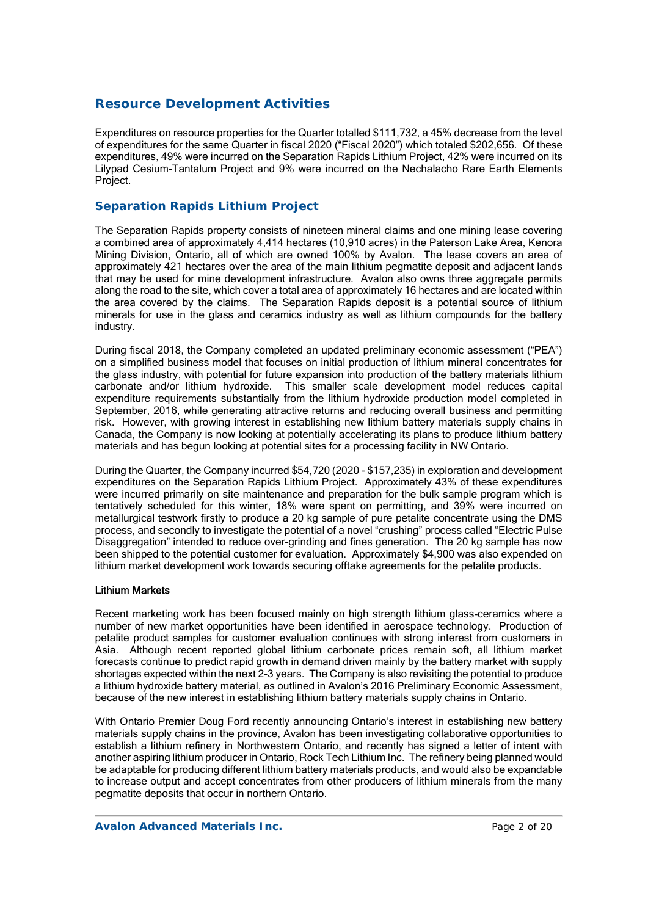# **Resource Development Activities**

Expenditures on resource properties for the Quarter totalled \$111,732, a 45% decrease from the level of expenditures for the same Quarter in fiscal 2020 ("Fiscal 2020") which totaled \$202,656. Of these expenditures, 49% were incurred on the Separation Rapids Lithium Project, 42% were incurred on its Lilypad Cesium-Tantalum Project and 9% were incurred on the Nechalacho Rare Earth Elements Project.

## *Separation Rapids Lithium Project*

The Separation Rapids property consists of nineteen mineral claims and one mining lease covering a combined area of approximately 4,414 hectares (10,910 acres) in the Paterson Lake Area, Kenora Mining Division, Ontario, all of which are owned 100% by Avalon. The lease covers an area of approximately 421 hectares over the area of the main lithium pegmatite deposit and adjacent lands that may be used for mine development infrastructure. Avalon also owns three aggregate permits along the road to the site, which cover a total area of approximately 16 hectares and are located within the area covered by the claims. The Separation Rapids deposit is a potential source of lithium minerals for use in the glass and ceramics industry as well as lithium compounds for the battery industry.

During fiscal 2018, the Company completed an updated preliminary economic assessment ("PEA") on a simplified business model that focuses on initial production of lithium mineral concentrates for the glass industry, with potential for future expansion into production of the battery materials lithium carbonate and/or lithium hydroxide. This smaller scale development model reduces capital expenditure requirements substantially from the lithium hydroxide production model completed in September, 2016, while generating attractive returns and reducing overall business and permitting risk. However, with growing interest in establishing new lithium battery materials supply chains in Canada, the Company is now looking at potentially accelerating its plans to produce lithium battery materials and has begun looking at potential sites for a processing facility in NW Ontario.

During the Quarter, the Company incurred \$54,720 (2020 - \$157,235) in exploration and development expenditures on the Separation Rapids Lithium Project. Approximately 43% of these expenditures were incurred primarily on site maintenance and preparation for the bulk sample program which is tentatively scheduled for this winter, 18% were spent on permitting, and 39% were incurred on metallurgical testwork firstly to produce a 20 kg sample of pure petalite concentrate using the DMS process, and secondly to investigate the potential of a novel "crushing" process called "Electric Pulse Disaggregation" intended to reduce over-grinding and fines generation. The 20 kg sample has now been shipped to the potential customer for evaluation. Approximately \$4,900 was also expended on lithium market development work towards securing offtake agreements for the petalite products.

### Lithium Markets

Recent marketing work has been focused mainly on high strength lithium glass-ceramics where a number of new market opportunities have been identified in aerospace technology. Production of petalite product samples for customer evaluation continues with strong interest from customers in Asia. Although recent reported global lithium carbonate prices remain soft, all lithium market forecasts continue to predict rapid growth in demand driven mainly by the battery market with supply shortages expected within the next 2-3 years. The Company is also revisiting the potential to produce a lithium hydroxide battery material, as outlined in Avalon's 2016 Preliminary Economic Assessment, because of the new interest in establishing lithium battery materials supply chains in Ontario.

With Ontario Premier Doug Ford recently announcing Ontario's interest in establishing new battery materials supply chains in the province, Avalon has been investigating collaborative opportunities to establish a lithium refinery in Northwestern Ontario, and recently has signed a letter of intent with another aspiring lithium producer in Ontario, Rock Tech Lithium Inc. The refinery being planned would be adaptable for producing different lithium battery materials products, and would also be expandable to increase output and accept concentrates from other producers of lithium minerals from the many pegmatite deposits that occur in northern Ontario.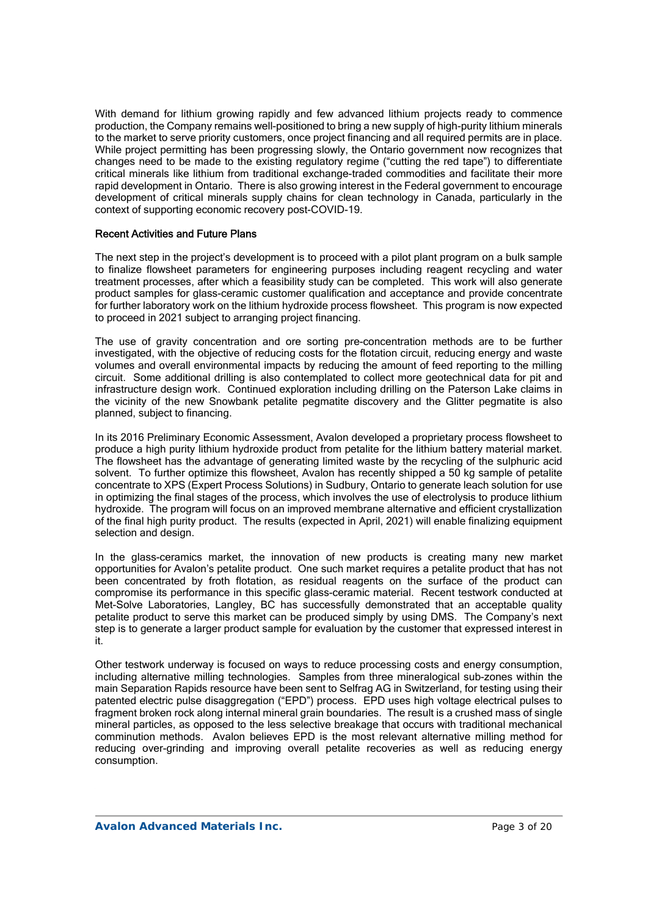With demand for lithium growing rapidly and few advanced lithium projects ready to commence production, the Company remains well-positioned to bring a new supply of high-purity lithium minerals to the market to serve priority customers, once project financing and all required permits are in place. While project permitting has been progressing slowly, the Ontario government now recognizes that changes need to be made to the existing regulatory regime ("cutting the red tape") to differentiate critical minerals like lithium from traditional exchange-traded commodities and facilitate their more rapid development in Ontario. There is also growing interest in the Federal government to encourage development of critical minerals supply chains for clean technology in Canada, particularly in the context of supporting economic recovery post-COVID-19.

#### Recent Activities and Future Plans

The next step in the project's development is to proceed with a pilot plant program on a bulk sample to finalize flowsheet parameters for engineering purposes including reagent recycling and water treatment processes, after which a feasibility study can be completed. This work will also generate product samples for glass-ceramic customer qualification and acceptance and provide concentrate for further laboratory work on the lithium hydroxide process flowsheet. This program is now expected to proceed in 2021 subject to arranging project financing.

The use of gravity concentration and ore sorting pre-concentration methods are to be further investigated, with the objective of reducing costs for the flotation circuit, reducing energy and waste volumes and overall environmental impacts by reducing the amount of feed reporting to the milling circuit. Some additional drilling is also contemplated to collect more geotechnical data for pit and infrastructure design work. Continued exploration including drilling on the Paterson Lake claims in the vicinity of the new Snowbank petalite pegmatite discovery and the Glitter pegmatite is also planned, subject to financing.

In its 2016 Preliminary Economic Assessment, Avalon developed a proprietary process flowsheet to produce a high purity lithium hydroxide product from petalite for the lithium battery material market. The flowsheet has the advantage of generating limited waste by the recycling of the sulphuric acid solvent. To further optimize this flowsheet. Avalon has recently shipped a 50 kg sample of petalite concentrate to XPS (Expert Process Solutions) in Sudbury, Ontario to generate leach solution for use in optimizing the final stages of the process, which involves the use of electrolysis to produce lithium hydroxide. The program will focus on an improved membrane alternative and efficient crystallization of the final high purity product. The results (expected in April, 2021) will enable finalizing equipment selection and design.

In the glass-ceramics market, the innovation of new products is creating many new market opportunities for Avalon's petalite product. One such market requires a petalite product that has not been concentrated by froth flotation, as residual reagents on the surface of the product can compromise its performance in this specific glass-ceramic material. Recent testwork conducted at Met-Solve Laboratories, Langley, BC has successfully demonstrated that an acceptable quality petalite product to serve this market can be produced simply by using DMS. The Company's next step is to generate a larger product sample for evaluation by the customer that expressed interest in it.

Other testwork underway is focused on ways to reduce processing costs and energy consumption, including alternative milling technologies. Samples from three mineralogical sub-zones within the main Separation Rapids resource have been sent to Selfrag AG in Switzerland, for testing using their patented electric pulse disaggregation ("EPD") process. EPD uses high voltage electrical pulses to fragment broken rock along internal mineral grain boundaries. The result is a crushed mass of single mineral particles, as opposed to the less selective breakage that occurs with traditional mechanical comminution methods. Avalon believes EPD is the most relevant alternative milling method for reducing over-grinding and improving overall petalite recoveries as well as reducing energy consumption.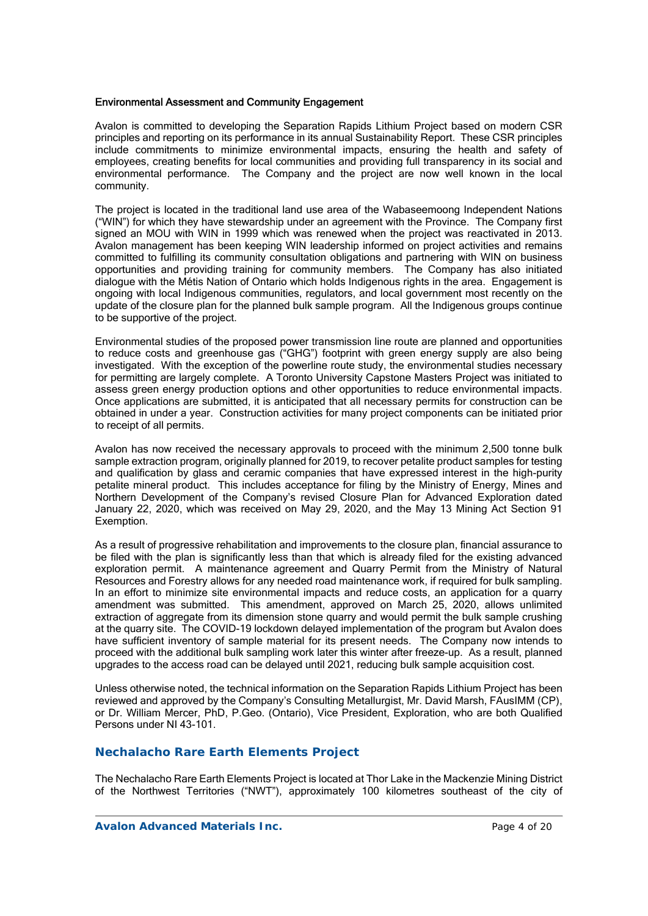#### Environmental Assessment and Community Engagement

Avalon is committed to developing the Separation Rapids Lithium Project based on modern CSR principles and reporting on its performance in its annual Sustainability Report. These CSR principles include commitments to minimize environmental impacts, ensuring the health and safety of employees, creating benefits for local communities and providing full transparency in its social and environmental performance. The Company and the project are now well known in the local community.

The project is located in the traditional land use area of the Wabaseemoong Independent Nations ("WIN") for which they have stewardship under an agreement with the Province. The Company first signed an MOU with WIN in 1999 which was renewed when the project was reactivated in 2013. Avalon management has been keeping WIN leadership informed on project activities and remains committed to fulfilling its community consultation obligations and partnering with WIN on business opportunities and providing training for community members. The Company has also initiated dialogue with the Métis Nation of Ontario which holds Indigenous rights in the area. Engagement is ongoing with local Indigenous communities, regulators, and local government most recently on the update of the closure plan for the planned bulk sample program. All the Indigenous groups continue to be supportive of the project.

Environmental studies of the proposed power transmission line route are planned and opportunities to reduce costs and greenhouse gas ("GHG") footprint with green energy supply are also being investigated. With the exception of the powerline route study, the environmental studies necessary for permitting are largely complete. A Toronto University Capstone Masters Project was initiated to assess green energy production options and other opportunities to reduce environmental impacts. Once applications are submitted, it is anticipated that all necessary permits for construction can be obtained in under a year. Construction activities for many project components can be initiated prior to receipt of all permits.

Avalon has now received the necessary approvals to proceed with the minimum 2,500 tonne bulk sample extraction program, originally planned for 2019, to recover petalite product samples for testing and qualification by glass and ceramic companies that have expressed interest in the high-purity petalite mineral product. This includes acceptance for filing by the Ministry of Energy, Mines and Northern Development of the Company's revised Closure Plan for Advanced Exploration dated January 22, 2020, which was received on May 29, 2020, and the May 13 Mining Act Section 91 Exemption.

As a result of progressive rehabilitation and improvements to the closure plan, financial assurance to be filed with the plan is significantly less than that which is already filed for the existing advanced exploration permit. A maintenance agreement and Quarry Permit from the Ministry of Natural Resources and Forestry allows for any needed road maintenance work, if required for bulk sampling. In an effort to minimize site environmental impacts and reduce costs, an application for a quarry amendment was submitted. This amendment, approved on March 25, 2020, allows unlimited extraction of aggregate from its dimension stone quarry and would permit the bulk sample crushing at the quarry site. The COVID-19 lockdown delayed implementation of the program but Avalon does have sufficient inventory of sample material for its present needs. The Company now intends to proceed with the additional bulk sampling work later this winter after freeze-up. As a result, planned upgrades to the access road can be delayed until 2021, reducing bulk sample acquisition cost.

Unless otherwise noted, the technical information on the Separation Rapids Lithium Project has been reviewed and approved by the Company's Consulting Metallurgist, Mr. David Marsh, FAusIMM (CP), or Dr. William Mercer, PhD, P.Geo. (Ontario), Vice President, Exploration, who are both Qualified Persons under NI 43-101.

### **Nechalacho Rare Earth Elements Project**

The Nechalacho Rare Earth Elements Project is located at Thor Lake in the Mackenzie Mining District of the Northwest Territories ("NWT"), approximately 100 kilometres southeast of the city of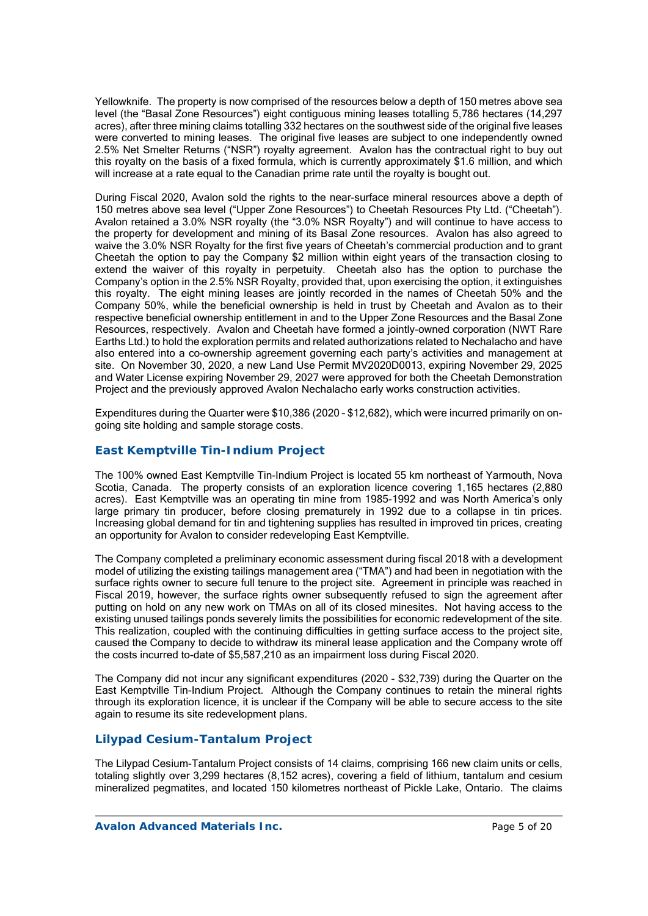Yellowknife. The property is now comprised of the resources below a depth of 150 metres above sea level (the "Basal Zone Resources") eight contiguous mining leases totalling 5,786 hectares (14,297 acres), after three mining claims totalling 332 hectares on the southwest side of the original five leases were converted to mining leases. The original five leases are subject to one independently owned 2.5% Net Smelter Returns ("NSR") royalty agreement. Avalon has the contractual right to buy out this royalty on the basis of a fixed formula, which is currently approximately \$1.6 million, and which will increase at a rate equal to the Canadian prime rate until the royalty is bought out.

During Fiscal 2020, Avalon sold the rights to the near-surface mineral resources above a depth of 150 metres above sea level ("Upper Zone Resources") to Cheetah Resources Pty Ltd. ("Cheetah"). Avalon retained a 3.0% NSR royalty (the "3.0% NSR Royalty") and will continue to have access to the property for development and mining of its Basal Zone resources. Avalon has also agreed to waive the 3.0% NSR Royalty for the first five years of Cheetah's commercial production and to grant Cheetah the option to pay the Company \$2 million within eight years of the transaction closing to extend the waiver of this royalty in perpetuity. Cheetah also has the option to purchase the Company's option in the 2.5% NSR Royalty, provided that, upon exercising the option, it extinguishes this royalty. The eight mining leases are jointly recorded in the names of Cheetah 50% and the Company 50%, while the beneficial ownership is held in trust by Cheetah and Avalon as to their respective beneficial ownership entitlement in and to the Upper Zone Resources and the Basal Zone Resources, respectively. Avalon and Cheetah have formed a jointly-owned corporation (NWT Rare Earths Ltd.) to hold the exploration permits and related authorizations related to Nechalacho and have also entered into a co-ownership agreement governing each party's activities and management at site. On November 30, 2020, a new Land Use Permit MV2020D0013, expiring November 29, 2025 and Water License expiring November 29, 2027 were approved for both the Cheetah Demonstration Project and the previously approved Avalon Nechalacho early works construction activities.

Expenditures during the Quarter were \$10,386 (2020 – \$12,682), which were incurred primarily on ongoing site holding and sample storage costs.

## *East Kemptville Tin-Indium Project*

The 100% owned East Kemptville Tin-Indium Project is located 55 km northeast of Yarmouth, Nova Scotia, Canada. The property consists of an exploration licence covering 1,165 hectares (2,880 acres). East Kemptville was an operating tin mine from 1985-1992 and was North America's only large primary tin producer, before closing prematurely in 1992 due to a collapse in tin prices. Increasing global demand for tin and tightening supplies has resulted in improved tin prices, creating an opportunity for Avalon to consider redeveloping East Kemptville.

The Company completed a preliminary economic assessment during fiscal 2018 with a development model of utilizing the existing tailings management area ("TMA") and had been in negotiation with the surface rights owner to secure full tenure to the project site. Agreement in principle was reached in Fiscal 2019, however, the surface rights owner subsequently refused to sign the agreement after putting on hold on any new work on TMAs on all of its closed minesites. Not having access to the existing unused tailings ponds severely limits the possibilities for economic redevelopment of the site. This realization, coupled with the continuing difficulties in getting surface access to the project site, caused the Company to decide to withdraw its mineral lease application and the Company wrote off the costs incurred to-date of \$5,587,210 as an impairment loss during Fiscal 2020.

The Company did not incur any significant expenditures (2020 - \$32,739) during the Quarter on the East Kemptville Tin-Indium Project. Although the Company continues to retain the mineral rights through its exploration licence, it is unclear if the Company will be able to secure access to the site again to resume its site redevelopment plans.

## *Lilypad Cesium-Tantalum Project*

The Lilypad Cesium-Tantalum Project consists of 14 claims, comprising 166 new claim units or cells, totaling slightly over 3,299 hectares (8,152 acres), covering a field of lithium, tantalum and cesium mineralized pegmatites, and located 150 kilometres northeast of Pickle Lake, Ontario. The claims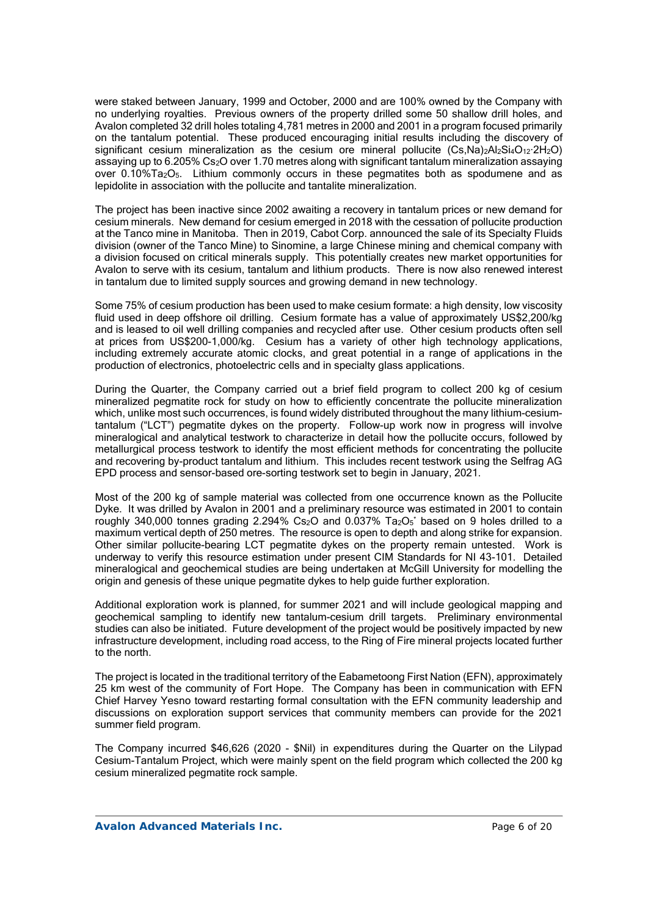were staked between January, 1999 and October, 2000 and are 100% owned by the Company with no underlying royalties. Previous owners of the property drilled some 50 shallow drill holes, and Avalon completed 32 drill holes totaling 4,781 metres in 2000 and 2001 in a program focused primarily on the tantalum potential. These produced encouraging initial results including the discovery of significant cesium mineralization as the cesium ore mineral pollucite  $(Cs,Na)_{2}Al_{2}Si_{4}O_{12}\cdot 2H_{2}O$ assaying up to 6.205% Cs2O over 1.70 metres along with significant tantalum mineralization assaying over 0.10%Ta2O5. Lithium commonly occurs in these pegmatites both as spodumene and as lepidolite in association with the pollucite and tantalite mineralization.

The project has been inactive since 2002 awaiting a recovery in tantalum prices or new demand for cesium minerals. New demand for cesium emerged in 2018 with the cessation of pollucite production at the Tanco mine in Manitoba. Then in 2019, Cabot Corp. announced the sale of its Specialty Fluids division (owner of the Tanco Mine) to Sinomine, a large Chinese mining and chemical company with a division focused on critical minerals supply. This potentially creates new market opportunities for Avalon to serve with its cesium, tantalum and lithium products. There is now also renewed interest in tantalum due to limited supply sources and growing demand in new technology.

Some 75% of cesium production has been used to make cesium formate: a high density, low viscosity fluid used in deep offshore oil drilling. Cesium formate has a value of approximately US\$2,200/kg and is leased to oil well drilling companies and recycled after use. Other cesium products often sell at prices from US\$200-1,000/kg. Cesium has a variety of other high technology applications, including extremely accurate atomic clocks, and great potential in a range of applications in the production of electronics, photoelectric cells and in specialty glass applications.

During the Quarter, the Company carried out a brief field program to collect 200 kg of cesium mineralized pegmatite rock for study on how to efficiently concentrate the pollucite mineralization which, unlike most such occurrences, is found widely distributed throughout the many lithium-cesiumtantalum ("LCT") pegmatite dykes on the property. Follow-up work now in progress will involve mineralogical and analytical testwork to characterize in detail how the pollucite occurs, followed by metallurgical process testwork to identify the most efficient methods for concentrating the pollucite and recovering by-product tantalum and lithium. This includes recent testwork using the Selfrag AG EPD process and sensor-based ore-sorting testwork set to begin in January, 2021.

Most of the 200 kg of sample material was collected from one occurrence known as the Pollucite Dyke. It was drilled by Avalon in 2001 and a preliminary resource was estimated in 2001 to contain roughly 340,000 tonnes grading 2.294% Cs<sub>2</sub>O and 0.037% Ta<sub>2</sub>O<sub>5</sub>\* based on 9 holes drilled to a maximum vertical depth of 250 metres. The resource is open to depth and along strike for expansion. Other similar pollucite-bearing LCT pegmatite dykes on the property remain untested. Work is underway to verify this resource estimation under present CIM Standards for NI 43-101. Detailed mineralogical and geochemical studies are being undertaken at McGill University for modelling the origin and genesis of these unique pegmatite dykes to help guide further exploration.

Additional exploration work is planned, for summer 2021 and will include geological mapping and geochemical sampling to identify new tantalum-cesium drill targets. Preliminary environmental studies can also be initiated. Future development of the project would be positively impacted by new infrastructure development, including road access, to the Ring of Fire mineral projects located further to the north.

The project is located in the traditional territory of the Eabametoong First Nation (EFN), approximately 25 km west of the community of Fort Hope. The Company has been in communication with EFN Chief Harvey Yesno toward restarting formal consultation with the EFN community leadership and discussions on exploration support services that community members can provide for the 2021 summer field program.

The Company incurred \$46,626 (2020 - \$Nil) in expenditures during the Quarter on the Lilypad Cesium-Tantalum Project, which were mainly spent on the field program which collected the 200 kg cesium mineralized pegmatite rock sample.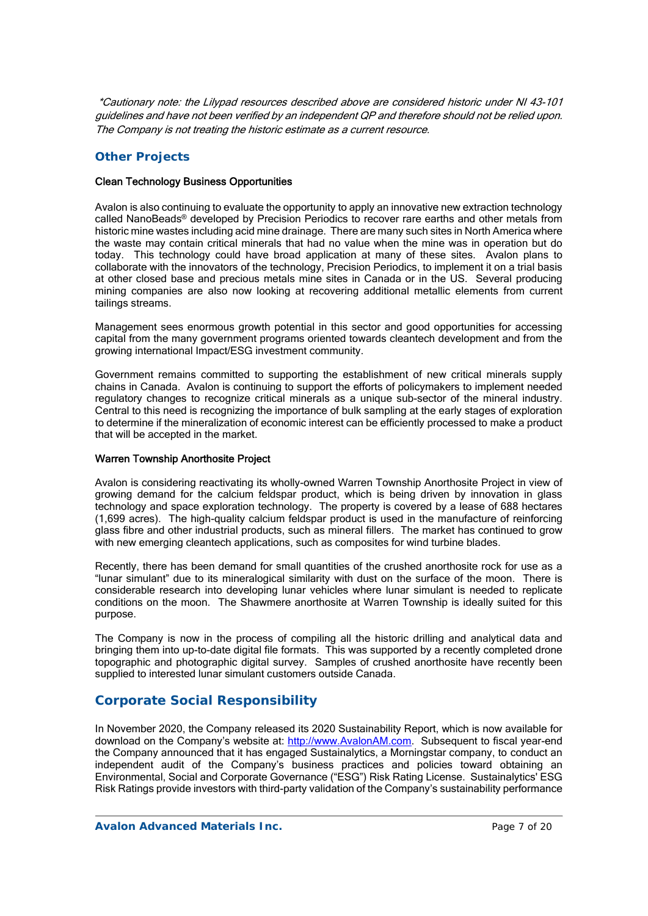\*Cautionary note: the Lilypad resources described above are considered historic under NI 43-101 guidelines and have not been verified by an independent QP and therefore should not be relied upon. The Company is not treating the historic estimate as a current resource.

## *Other Projects*

### Clean Technology Business Opportunities

Avalon is also continuing to evaluate the opportunity to apply an innovative new extraction technology called NanoBeads® developed by Precision Periodics to recover rare earths and other metals from historic mine wastes including acid mine drainage. There are many such sites in North America where the waste may contain critical minerals that had no value when the mine was in operation but do today. This technology could have broad application at many of these sites. Avalon plans to collaborate with the innovators of the technology, Precision Periodics, to implement it on a trial basis at other closed base and precious metals mine sites in Canada or in the US. Several producing mining companies are also now looking at recovering additional metallic elements from current tailings streams.

Management sees enormous growth potential in this sector and good opportunities for accessing capital from the many government programs oriented towards cleantech development and from the growing international Impact/ESG investment community.

Government remains committed to supporting the establishment of new critical minerals supply chains in Canada. Avalon is continuing to support the efforts of policymakers to implement needed regulatory changes to recognize critical minerals as a unique sub-sector of the mineral industry. Central to this need is recognizing the importance of bulk sampling at the early stages of exploration to determine if the mineralization of economic interest can be efficiently processed to make a product that will be accepted in the market.

#### Warren Township Anorthosite Project

Avalon is considering reactivating its wholly-owned Warren Township Anorthosite Project in view of growing demand for the calcium feldspar product, which is being driven by innovation in glass technology and space exploration technology. The property is covered by a lease of 688 hectares (1,699 acres). The high-quality calcium feldspar product is used in the manufacture of reinforcing glass fibre and other industrial products, such as mineral fillers. The market has continued to grow with new emerging cleantech applications, such as composites for wind turbine blades.

Recently, there has been demand for small quantities of the crushed anorthosite rock for use as a "lunar simulant" due to its mineralogical similarity with dust on the surface of the moon. There is considerable research into developing lunar vehicles where lunar simulant is needed to replicate conditions on the moon. The Shawmere anorthosite at Warren Township is ideally suited for this purpose.

The Company is now in the process of compiling all the historic drilling and analytical data and bringing them into up-to-date digital file formats. This was supported by a recently completed drone topographic and photographic digital survey. Samples of crushed anorthosite have recently been supplied to interested lunar simulant customers outside Canada.

# **Corporate Social Responsibility**

In November 2020, the Company released its 2020 Sustainability Report, which is now available for download on the Company's website at: http://www.AvalonAM.com. Subsequent to fiscal year-end the Company announced that it has engaged Sustainalytics, a Morningstar company, to conduct an independent audit of the Company's business practices and policies toward obtaining an Environmental, Social and Corporate Governance ("ESG") Risk Rating License. Sustainalytics' ESG Risk Ratings provide investors with third-party validation of the Company's sustainability performance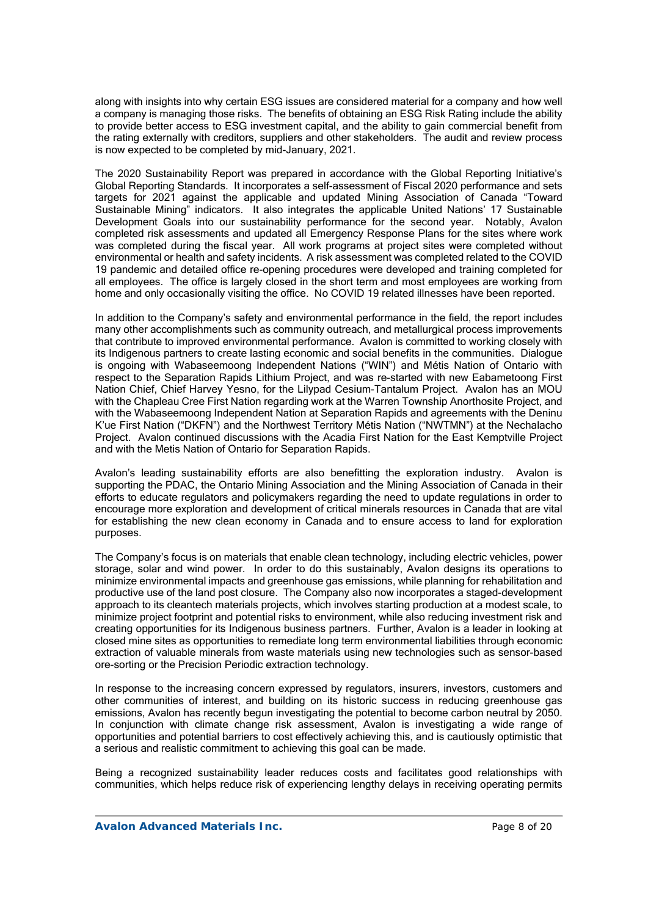along with insights into why certain ESG issues are considered material for a company and how well a company is managing those risks. The benefits of obtaining an ESG Risk Rating include the ability to provide better access to ESG investment capital, and the ability to gain commercial benefit from the rating externally with creditors, suppliers and other stakeholders. The audit and review process is now expected to be completed by mid-January, 2021.

The 2020 Sustainability Report was prepared in accordance with the Global Reporting Initiative's Global Reporting Standards. It incorporates a self-assessment of Fiscal 2020 performance and sets targets for 2021 against the applicable and updated Mining Association of Canada "Toward Sustainable Mining" indicators. It also integrates the applicable United Nations' 17 Sustainable Development Goals into our sustainability performance for the second year. Notably, Avalon completed risk assessments and updated all Emergency Response Plans for the sites where work was completed during the fiscal year. All work programs at project sites were completed without environmental or health and safety incidents. A risk assessment was completed related to the COVID 19 pandemic and detailed office re-opening procedures were developed and training completed for all employees. The office is largely closed in the short term and most employees are working from home and only occasionally visiting the office. No COVID 19 related illnesses have been reported.

In addition to the Company's safety and environmental performance in the field, the report includes many other accomplishments such as community outreach, and metallurgical process improvements that contribute to improved environmental performance. Avalon is committed to working closely with its Indigenous partners to create lasting economic and social benefits in the communities. Dialogue is ongoing with Wabaseemoong Independent Nations ("WIN") and Métis Nation of Ontario with respect to the Separation Rapids Lithium Project, and was re-started with new Eabametoong First Nation Chief, Chief Harvey Yesno, for the Lilypad Cesium-Tantalum Project. Avalon has an MOU with the Chapleau Cree First Nation regarding work at the Warren Township Anorthosite Project, and with the Wabaseemoong Independent Nation at Separation Rapids and agreements with the Deninu K'ue First Nation ("DKFN") and the Northwest Territory Métis Nation ("NWTMN") at the Nechalacho Project. Avalon continued discussions with the Acadia First Nation for the East Kemptville Project and with the Metis Nation of Ontario for Separation Rapids.

Avalon's leading sustainability efforts are also benefitting the exploration industry. Avalon is supporting the PDAC, the Ontario Mining Association and the Mining Association of Canada in their efforts to educate regulators and policymakers regarding the need to update regulations in order to encourage more exploration and development of critical minerals resources in Canada that are vital for establishing the new clean economy in Canada and to ensure access to land for exploration purposes.

The Company's focus is on materials that enable clean technology, including electric vehicles, power storage, solar and wind power. In order to do this sustainably, Avalon designs its operations to minimize environmental impacts and greenhouse gas emissions, while planning for rehabilitation and productive use of the land post closure. The Company also now incorporates a staged-development approach to its cleantech materials projects, which involves starting production at a modest scale, to minimize project footprint and potential risks to environment, while also reducing investment risk and creating opportunities for its Indigenous business partners. Further, Avalon is a leader in looking at closed mine sites as opportunities to remediate long term environmental liabilities through economic extraction of valuable minerals from waste materials using new technologies such as sensor-based ore-sorting or the Precision Periodic extraction technology.

In response to the increasing concern expressed by regulators, insurers, investors, customers and other communities of interest, and building on its historic success in reducing greenhouse gas emissions, Avalon has recently begun investigating the potential to become carbon neutral by 2050. In conjunction with climate change risk assessment, Avalon is investigating a wide range of opportunities and potential barriers to cost effectively achieving this, and is cautiously optimistic that a serious and realistic commitment to achieving this goal can be made.

Being a recognized sustainability leader reduces costs and facilitates good relationships with communities, which helps reduce risk of experiencing lengthy delays in receiving operating permits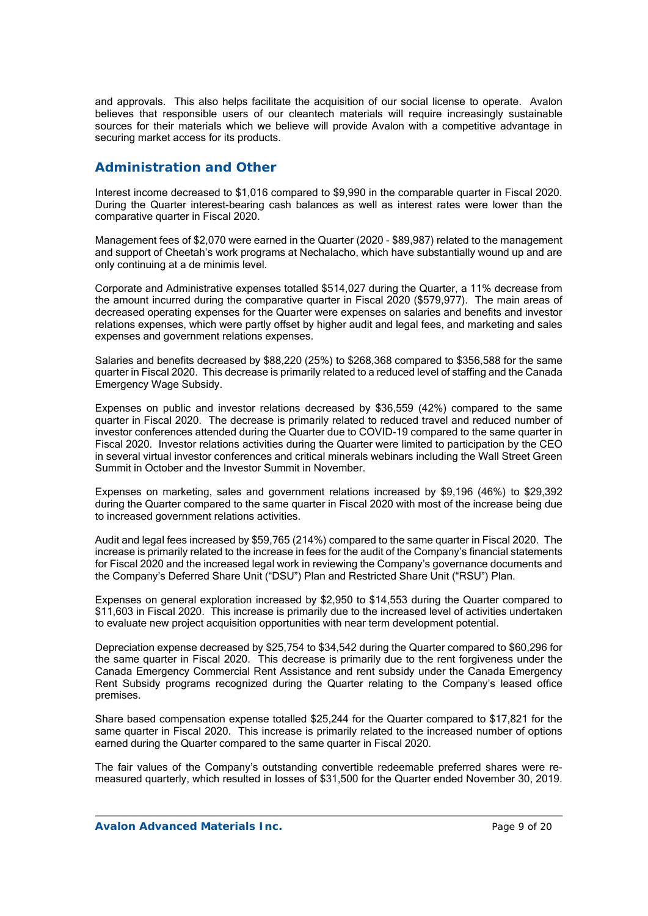and approvals. This also helps facilitate the acquisition of our social license to operate. Avalon believes that responsible users of our cleantech materials will require increasingly sustainable sources for their materials which we believe will provide Avalon with a competitive advantage in securing market access for its products.

## **Administration and Other**

Interest income decreased to \$1,016 compared to \$9,990 in the comparable quarter in Fiscal 2020. During the Quarter interest-bearing cash balances as well as interest rates were lower than the comparative quarter in Fiscal 2020.

Management fees of \$2,070 were earned in the Quarter (2020 - \$89,987) related to the management and support of Cheetah's work programs at Nechalacho, which have substantially wound up and are only continuing at a de minimis level.

Corporate and Administrative expenses totalled \$514,027 during the Quarter, a 11% decrease from the amount incurred during the comparative quarter in Fiscal 2020 (\$579,977). The main areas of decreased operating expenses for the Quarter were expenses on salaries and benefits and investor relations expenses, which were partly offset by higher audit and legal fees, and marketing and sales expenses and government relations expenses.

Salaries and benefits decreased by \$88,220 (25%) to \$268,368 compared to \$356,588 for the same quarter in Fiscal 2020. This decrease is primarily related to a reduced level of staffing and the Canada Emergency Wage Subsidy.

Expenses on public and investor relations decreased by \$36,559 (42%) compared to the same quarter in Fiscal 2020. The decrease is primarily related to reduced travel and reduced number of investor conferences attended during the Quarter due to COVID-19 compared to the same quarter in Fiscal 2020. Investor relations activities during the Quarter were limited to participation by the CEO in several virtual investor conferences and critical minerals webinars including the Wall Street Green Summit in October and the Investor Summit in November.

Expenses on marketing, sales and government relations increased by \$9,196 (46%) to \$29,392 during the Quarter compared to the same quarter in Fiscal 2020 with most of the increase being due to increased government relations activities.

Audit and legal fees increased by \$59,765 (214%) compared to the same quarter in Fiscal 2020. The increase is primarily related to the increase in fees for the audit of the Company's financial statements for Fiscal 2020 and the increased legal work in reviewing the Company's governance documents and the Company's Deferred Share Unit ("DSU") Plan and Restricted Share Unit ("RSU") Plan.

Expenses on general exploration increased by \$2,950 to \$14,553 during the Quarter compared to \$11,603 in Fiscal 2020. This increase is primarily due to the increased level of activities undertaken to evaluate new project acquisition opportunities with near term development potential.

Depreciation expense decreased by \$25,754 to \$34,542 during the Quarter compared to \$60,296 for the same quarter in Fiscal 2020. This decrease is primarily due to the rent forgiveness under the Canada Emergency Commercial Rent Assistance and rent subsidy under the Canada Emergency Rent Subsidy programs recognized during the Quarter relating to the Company's leased office premises.

Share based compensation expense totalled \$25,244 for the Quarter compared to \$17,821 for the same quarter in Fiscal 2020. This increase is primarily related to the increased number of options earned during the Quarter compared to the same quarter in Fiscal 2020.

The fair values of the Company's outstanding convertible redeemable preferred shares were remeasured quarterly, which resulted in losses of \$31,500 for the Quarter ended November 30, 2019.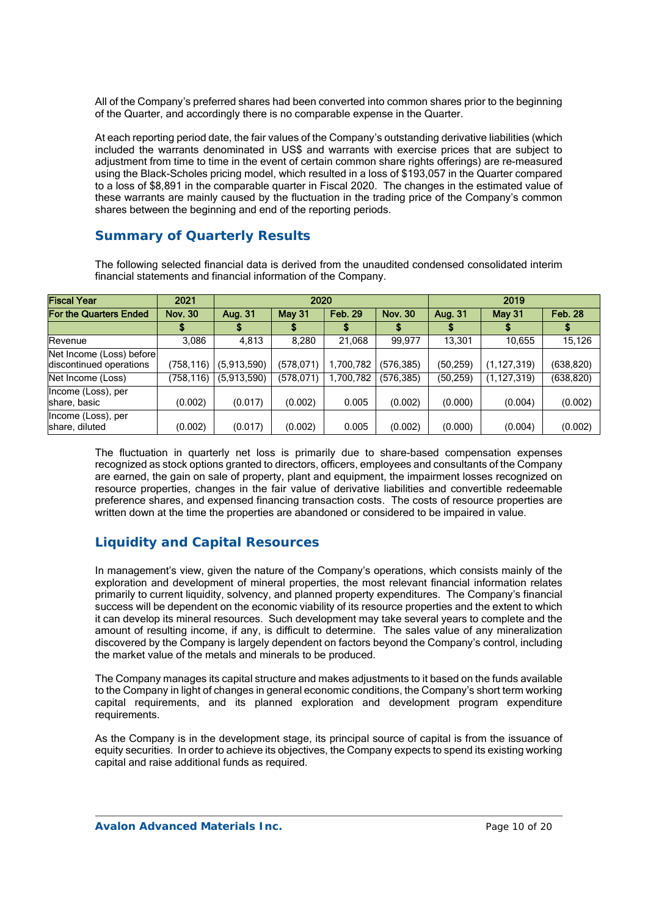All of the Company's preferred shares had been converted into common shares prior to the beginning of the Quarter, and accordingly there is no comparable expense in the Quarter.

At each reporting period date, the fair values of the Company's outstanding derivative liabilities (which included the warrants denominated in US\$ and warrants with exercise prices that are subject to adjustment from time to time in the event of certain common share rights offerings) are re-measured using the Black-Scholes pricing model, which resulted in a loss of \$193,057 in the Quarter compared to a loss of \$8,891 in the comparable quarter in Fiscal 2020. The changes in the estimated value of these warrants are mainly caused by the fluctuation in the trading price of the Company's common shares between the beginning and end of the reporting periods.

# **Summary of Quarterly Results**

| <b>Fiscal Year</b>                                  | 2021           | 2020        |               |                | 2019           |           |               |                |
|-----------------------------------------------------|----------------|-------------|---------------|----------------|----------------|-----------|---------------|----------------|
| <b>For the Quarters Ended</b>                       | <b>Nov. 30</b> | Aug. 31     | <b>May 31</b> | <b>Feb. 29</b> | <b>Nov. 30</b> | Aug. 31   | <b>May 31</b> | <b>Feb. 28</b> |
|                                                     |                |             |               |                |                |           |               |                |
| Revenue                                             | 3,086          | 4,813       | 8,280         | 21,068         | 99,977         | 13,301    | 10,655        | 15,126         |
| Net Income (Loss) before<br>discontinued operations | (758,116)      | (5,913,590) | (578, 071)    | 1,700,782      | (576,385)      | (50, 259) | (1, 127, 319) | (638, 820)     |
| Net Income (Loss)                                   | (758,116)      | (5,913,590) | (578, 071)    | ,700,782       | (576, 385)     | (50, 259) | (1, 127, 319) | (638, 820)     |
| Income (Loss), per<br>share, basic                  | (0.002)        | (0.017)     | (0.002)       | 0.005          | (0.002)        | (0.000)   | (0.004)       | (0.002)        |
| Income (Loss), per<br>share, diluted                | (0.002)        | (0.017)     | (0.002)       | 0.005          | (0.002)        | (0.000)   | (0.004)       | (0.002)        |

The following selected financial data is derived from the unaudited condensed consolidated interim financial statements and financial information of the Company.

The fluctuation in quarterly net loss is primarily due to share-based compensation expenses recognized as stock options granted to directors, officers, employees and consultants of the Company are earned, the gain on sale of property, plant and equipment, the impairment losses recognized on resource properties, changes in the fair value of derivative liabilities and convertible redeemable preference shares, and expensed financing transaction costs. The costs of resource properties are written down at the time the properties are abandoned or considered to be impaired in value.

# **Liquidity and Capital Resources**

In management's view, given the nature of the Company's operations, which consists mainly of the exploration and development of mineral properties, the most relevant financial information relates primarily to current liquidity, solvency, and planned property expenditures. The Company's financial success will be dependent on the economic viability of its resource properties and the extent to which it can develop its mineral resources. Such development may take several years to complete and the amount of resulting income, if any, is difficult to determine. The sales value of any mineralization discovered by the Company is largely dependent on factors beyond the Company's control, including the market value of the metals and minerals to be produced.

The Company manages its capital structure and makes adjustments to it based on the funds available to the Company in light of changes in general economic conditions, the Company's short term working capital requirements, and its planned exploration and development program expenditure requirements.

As the Company is in the development stage, its principal source of capital is from the issuance of equity securities. In order to achieve its objectives, the Company expects to spend its existing working capital and raise additional funds as required.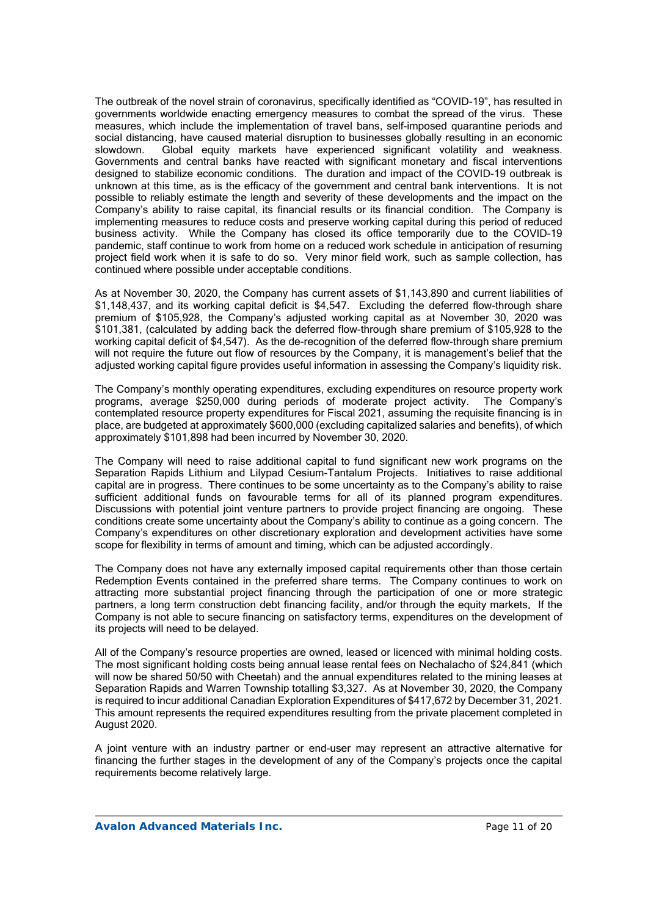The outbreak of the novel strain of coronavirus, specifically identified as "COVID-19", has resulted in governments worldwide enacting emergency measures to combat the spread of the virus. These measures, which include the implementation of travel bans, self-imposed quarantine periods and social distancing, have caused material disruption to businesses globally resulting in an economic slowdown. Global equity markets have experienced significant volatility and weakness. Governments and central banks have reacted with significant monetary and fiscal interventions designed to stabilize economic conditions. The duration and impact of the COVID-19 outbreak is unknown at this time, as is the efficacy of the government and central bank interventions. It is not possible to reliably estimate the length and severity of these developments and the impact on the Company's ability to raise capital, its financial results or its financial condition. The Company is implementing measures to reduce costs and preserve working capital during this period of reduced business activity. While the Company has closed its office temporarily due to the COVID-19 pandemic, staff continue to work from home on a reduced work schedule in anticipation of resuming project field work when it is safe to do so. Very minor field work, such as sample collection, has continued where possible under acceptable conditions.

As at November 30, 2020, the Company has current assets of \$1,143,890 and current liabilities of \$1,148,437, and its working capital deficit is \$4,547. Excluding the deferred flow-through share premium of \$105,928, the Company's adjusted working capital as at November 30, 2020 was \$101,381, (calculated by adding back the deferred flow-through share premium of \$105,928 to the working capital deficit of \$4,547). As the de-recognition of the deferred flow-through share premium will not require the future out flow of resources by the Company, it is management's belief that the adjusted working capital figure provides useful information in assessing the Company's liquidity risk.

The Company's monthly operating expenditures, excluding expenditures on resource property work programs, average \$250,000 during periods of moderate project activity. The Company's contemplated resource property expenditures for Fiscal 2021, assuming the requisite financing is in place, are budgeted at approximately \$600,000 (excluding capitalized salaries and benefits), of which approximately \$101,898 had been incurred by November 30, 2020.

The Company will need to raise additional capital to fund significant new work programs on the Separation Rapids Lithium and Lilypad Cesium-Tantalum Projects. Initiatives to raise additional capital are in progress. There continues to be some uncertainty as to the Company's ability to raise sufficient additional funds on favourable terms for all of its planned program expenditures. Discussions with potential joint venture partners to provide project financing are ongoing. These conditions create some uncertainty about the Company's ability to continue as a going concern. The Company's expenditures on other discretionary exploration and development activities have some scope for flexibility in terms of amount and timing, which can be adjusted accordingly.

The Company does not have any externally imposed capital requirements other than those certain Redemption Events contained in the preferred share terms. The Company continues to work on attracting more substantial project financing through the participation of one or more strategic partners, a long term construction debt financing facility, and/or through the equity markets. If the Company is not able to secure financing on satisfactory terms, expenditures on the development of its projects will need to be delayed.

All of the Company's resource properties are owned, leased or licenced with minimal holding costs. The most significant holding costs being annual lease rental fees on Nechalacho of \$24,841 (which will now be shared 50/50 with Cheetah) and the annual expenditures related to the mining leases at Separation Rapids and Warren Township totalling \$3,327. As at November 30, 2020, the Company is required to incur additional Canadian Exploration Expenditures of \$417,672 by December 31, 2021. This amount represents the required expenditures resulting from the private placement completed in August 2020.

A joint venture with an industry partner or end-user may represent an attractive alternative for financing the further stages in the development of any of the Company's projects once the capital requirements become relatively large.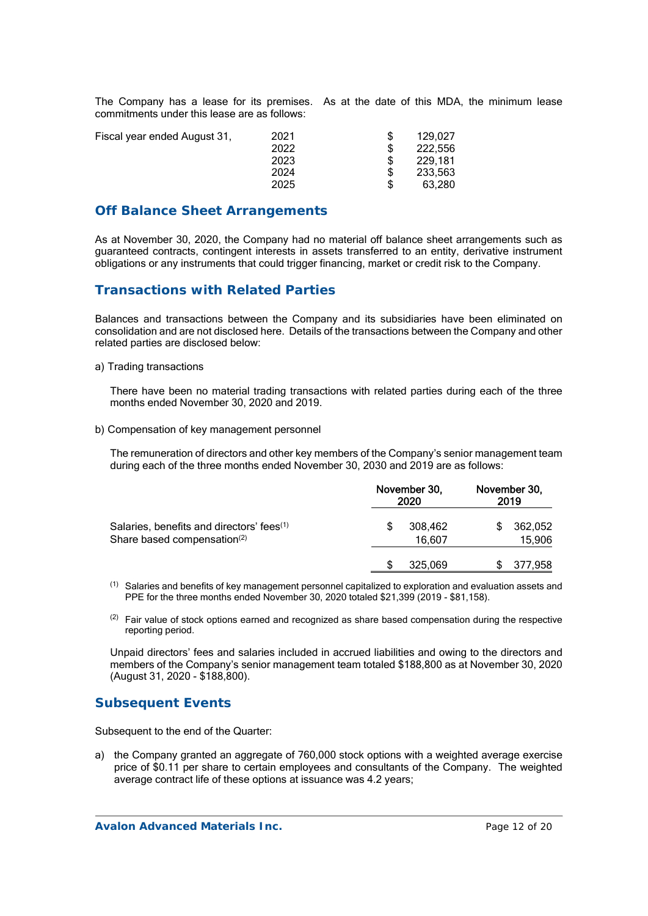The Company has a lease for its premises. As at the date of this MDA, the minimum lease commitments under this lease are as follows:

| Fiscal year ended August 31. | 2021 | 129.027 |
|------------------------------|------|---------|
|                              | 2022 | 222,556 |
|                              | 2023 | 229.181 |
|                              | 2024 | 233.563 |
|                              | 2025 | 63.280  |

### **Off Balance Sheet Arrangements**

As at November 30, 2020, the Company had no material off balance sheet arrangements such as guaranteed contracts, contingent interests in assets transferred to an entity, derivative instrument obligations or any instruments that could trigger financing, market or credit risk to the Company.

# **Transactions with Related Parties**

Balances and transactions between the Company and its subsidiaries have been eliminated on consolidation and are not disclosed here. Details of the transactions between the Company and other related parties are disclosed below:

a) Trading transactions

There have been no material trading transactions with related parties during each of the three months ended November 30, 2020 and 2019.

b) Compensation of key management personnel

The remuneration of directors and other key members of the Company's senior management team during each of the three months ended November 30, 2030 and 2019 are as follows:

|                                                                                                  | November 30,<br>2020 |                   | November 30,<br>2019 |                   |
|--------------------------------------------------------------------------------------------------|----------------------|-------------------|----------------------|-------------------|
| Salaries, benefits and directors' fees <sup>(1)</sup><br>Share based compensation <sup>(2)</sup> |                      | 308.462<br>16.607 |                      | 362,052<br>15,906 |
|                                                                                                  |                      | 325.069           |                      | 377,958           |

 $<sup>(1)</sup>$  Salaries and benefits of key management personnel capitalized to exploration and evaluation assets and</sup> PPE for the three months ended November 30, 2020 totaled \$21,399 (2019 - \$81,158).

 $(2)$  Fair value of stock options earned and recognized as share based compensation during the respective reporting period.

Unpaid directors' fees and salaries included in accrued liabilities and owing to the directors and members of the Company's senior management team totaled \$188,800 as at November 30, 2020 (August 31, 2020 - \$188,800).

## **Subsequent Events**

Subsequent to the end of the Quarter:

a) the Company granted an aggregate of 760,000 stock options with a weighted average exercise price of \$0.11 per share to certain employees and consultants of the Company. The weighted average contract life of these options at issuance was 4.2 years;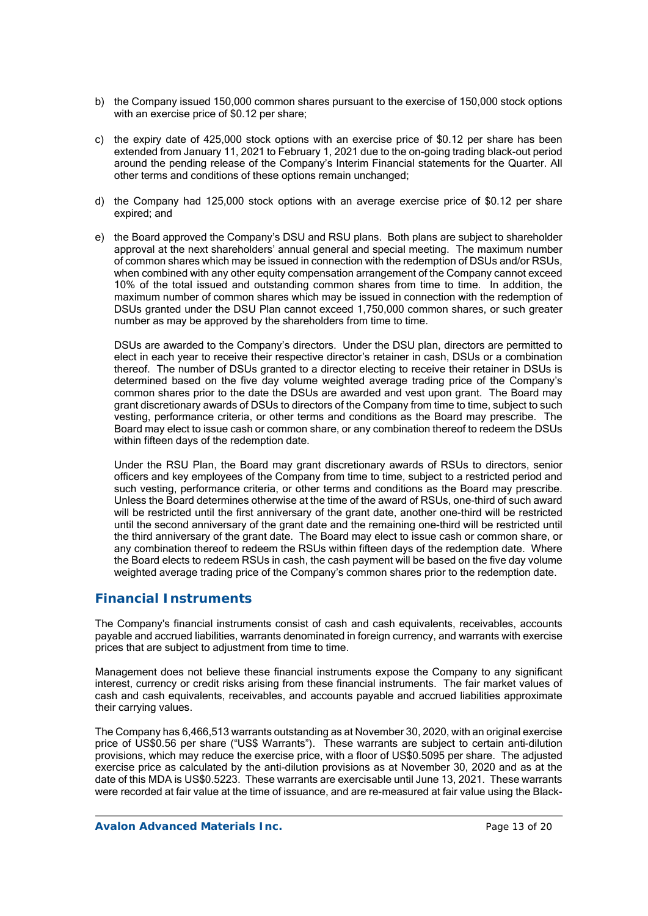- b) the Company issued 150,000 common shares pursuant to the exercise of 150,000 stock options with an exercise price of \$0.12 per share;
- c) the expiry date of 425,000 stock options with an exercise price of \$0.12 per share has been extended from January 11, 2021 to February 1, 2021 due to the on-going trading black-out period around the pending release of the Company's Interim Financial statements for the Quarter. All other terms and conditions of these options remain unchanged;
- d) the Company had 125,000 stock options with an average exercise price of \$0.12 per share expired; and
- e) the Board approved the Company's DSU and RSU plans. Both plans are subject to shareholder approval at the next shareholders' annual general and special meeting. The maximum number of common shares which may be issued in connection with the redemption of DSUs and/or RSUs, when combined with any other equity compensation arrangement of the Company cannot exceed 10% of the total issued and outstanding common shares from time to time. In addition, the maximum number of common shares which may be issued in connection with the redemption of DSUs granted under the DSU Plan cannot exceed 1,750,000 common shares, or such greater number as may be approved by the shareholders from time to time.

DSUs are awarded to the Company's directors. Under the DSU plan, directors are permitted to elect in each year to receive their respective director's retainer in cash, DSUs or a combination thereof. The number of DSUs granted to a director electing to receive their retainer in DSUs is determined based on the five day volume weighted average trading price of the Company's common shares prior to the date the DSUs are awarded and vest upon grant. The Board may grant discretionary awards of DSUs to directors of the Company from time to time, subject to such vesting, performance criteria, or other terms and conditions as the Board may prescribe. The Board may elect to issue cash or common share, or any combination thereof to redeem the DSUs within fifteen days of the redemption date.

Under the RSU Plan, the Board may grant discretionary awards of RSUs to directors, senior officers and key employees of the Company from time to time, subject to a restricted period and such vesting, performance criteria, or other terms and conditions as the Board may prescribe. Unless the Board determines otherwise at the time of the award of RSUs, one-third of such award will be restricted until the first anniversary of the grant date, another one-third will be restricted until the second anniversary of the grant date and the remaining one-third will be restricted until the third anniversary of the grant date. The Board may elect to issue cash or common share, or any combination thereof to redeem the RSUs within fifteen days of the redemption date. Where the Board elects to redeem RSUs in cash, the cash payment will be based on the five day volume weighted average trading price of the Company's common shares prior to the redemption date.

## **Financial Instruments**

The Company's financial instruments consist of cash and cash equivalents, receivables, accounts payable and accrued liabilities, warrants denominated in foreign currency, and warrants with exercise prices that are subject to adjustment from time to time.

Management does not believe these financial instruments expose the Company to any significant interest, currency or credit risks arising from these financial instruments. The fair market values of cash and cash equivalents, receivables, and accounts payable and accrued liabilities approximate their carrying values.

The Company has 6,466,513 warrants outstanding as at November 30, 2020, with an original exercise price of US\$0.56 per share ("US\$ Warrants"). These warrants are subject to certain anti-dilution provisions, which may reduce the exercise price, with a floor of US\$0.5095 per share. The adjusted exercise price as calculated by the anti-dilution provisions as at November 30, 2020 and as at the date of this MDA is US\$0.5223. These warrants are exercisable until June 13, 2021. These warrants were recorded at fair value at the time of issuance, and are re-measured at fair value using the Black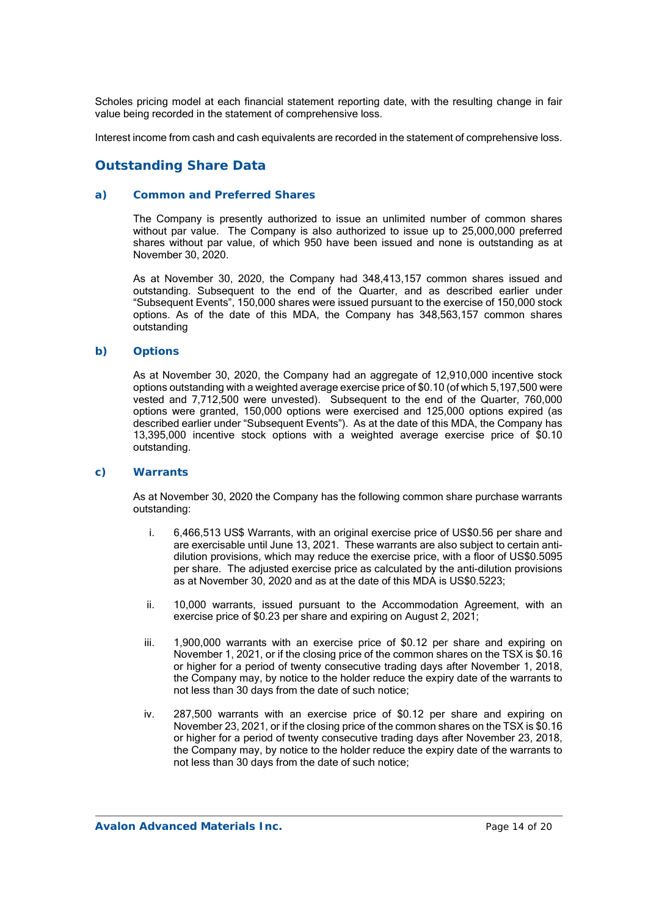Scholes pricing model at each financial statement reporting date, with the resulting change in fair value being recorded in the statement of comprehensive loss.

Interest income from cash and cash equivalents are recorded in the statement of comprehensive loss.

# **Outstanding Share Data**

#### *a) Common and Preferred Shares*

The Company is presently authorized to issue an unlimited number of common shares without par value. The Company is also authorized to issue up to 25,000,000 preferred shares without par value, of which 950 have been issued and none is outstanding as at November 30, 2020.

As at November 30, 2020, the Company had 348,413,157 common shares issued and outstanding. Subsequent to the end of the Quarter, and as described earlier under "Subsequent Events", 150,000 shares were issued pursuant to the exercise of 150,000 stock options. As of the date of this MDA, the Company has 348,563,157 common shares outstanding

#### *b) Options*

As at November 30, 2020, the Company had an aggregate of 12,910,000 incentive stock options outstanding with a weighted average exercise price of \$0.10 (of which 5,197,500 were vested and 7,712,500 were unvested). Subsequent to the end of the Quarter, 760,000 options were granted, 150,000 options were exercised and 125,000 options expired (as described earlier under "Subsequent Events"). As at the date of this MDA, the Company has 13,395,000 incentive stock options with a weighted average exercise price of \$0.10 outstanding.

#### *c) Warrants*

As at November 30, 2020 the Company has the following common share purchase warrants outstanding:

- i. 6,466,513 US\$ Warrants, with an original exercise price of US\$0.56 per share and are exercisable until June 13, 2021. These warrants are also subject to certain antidilution provisions, which may reduce the exercise price, with a floor of US\$0.5095 per share. The adjusted exercise price as calculated by the anti-dilution provisions as at November 30, 2020 and as at the date of this MDA is US\$0.5223;
- ii. 10,000 warrants, issued pursuant to the Accommodation Agreement, with an exercise price of \$0.23 per share and expiring on August 2, 2021;
- iii. 1,900,000 warrants with an exercise price of \$0.12 per share and expiring on November 1, 2021, or if the closing price of the common shares on the TSX is \$0.16 or higher for a period of twenty consecutive trading days after November 1, 2018, the Company may, by notice to the holder reduce the expiry date of the warrants to not less than 30 days from the date of such notice;
- iv. 287,500 warrants with an exercise price of \$0.12 per share and expiring on November 23, 2021, or if the closing price of the common shares on the TSX is \$0.16 or higher for a period of twenty consecutive trading days after November 23, 2018, the Company may, by notice to the holder reduce the expiry date of the warrants to not less than 30 days from the date of such notice;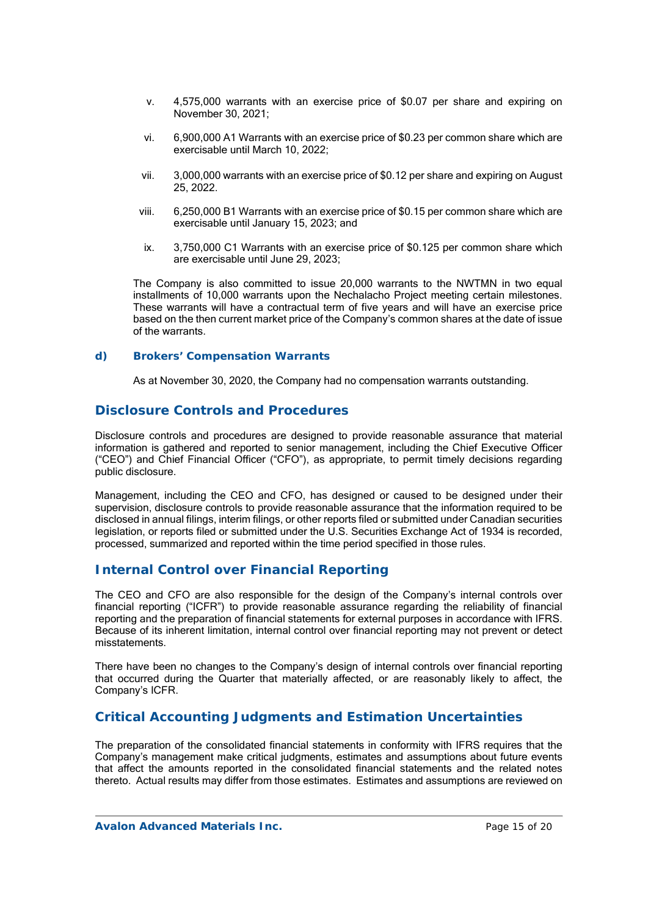- v. 4,575,000 warrants with an exercise price of \$0.07 per share and expiring on November 30, 2021;
- vi. 6,900,000 A1 Warrants with an exercise price of \$0.23 per common share which are exercisable until March 10, 2022;
- vii. 3,000,000 warrants with an exercise price of \$0.12 per share and expiring on August 25, 2022.
- viii. 6,250,000 B1 Warrants with an exercise price of \$0.15 per common share which are exercisable until January 15, 2023; and
- ix. 3,750,000 C1 Warrants with an exercise price of \$0.125 per common share which are exercisable until June 29, 2023;

The Company is also committed to issue 20,000 warrants to the NWTMN in two equal installments of 10,000 warrants upon the Nechalacho Project meeting certain milestones. These warrants will have a contractual term of five years and will have an exercise price based on the then current market price of the Company's common shares at the date of issue of the warrants.

### *d) Brokers' Compensation Warrants*

As at November 30, 2020, the Company had no compensation warrants outstanding.

### **Disclosure Controls and Procedures**

Disclosure controls and procedures are designed to provide reasonable assurance that material information is gathered and reported to senior management, including the Chief Executive Officer ("CEO") and Chief Financial Officer ("CFO"), as appropriate, to permit timely decisions regarding public disclosure.

Management, including the CEO and CFO, has designed or caused to be designed under their supervision, disclosure controls to provide reasonable assurance that the information required to be disclosed in annual filings, interim filings, or other reports filed or submitted under Canadian securities legislation, or reports filed or submitted under the U.S. Securities Exchange Act of 1934 is recorded, processed, summarized and reported within the time period specified in those rules.

## **Internal Control over Financial Reporting**

The CEO and CFO are also responsible for the design of the Company's internal controls over financial reporting ("ICFR") to provide reasonable assurance regarding the reliability of financial reporting and the preparation of financial statements for external purposes in accordance with IFRS. Because of its inherent limitation, internal control over financial reporting may not prevent or detect misstatements.

There have been no changes to the Company's design of internal controls over financial reporting that occurred during the Quarter that materially affected, or are reasonably likely to affect, the Company's ICFR.

# **Critical Accounting Judgments and Estimation Uncertainties**

The preparation of the consolidated financial statements in conformity with IFRS requires that the Company's management make critical judgments, estimates and assumptions about future events that affect the amounts reported in the consolidated financial statements and the related notes thereto. Actual results may differ from those estimates. Estimates and assumptions are reviewed on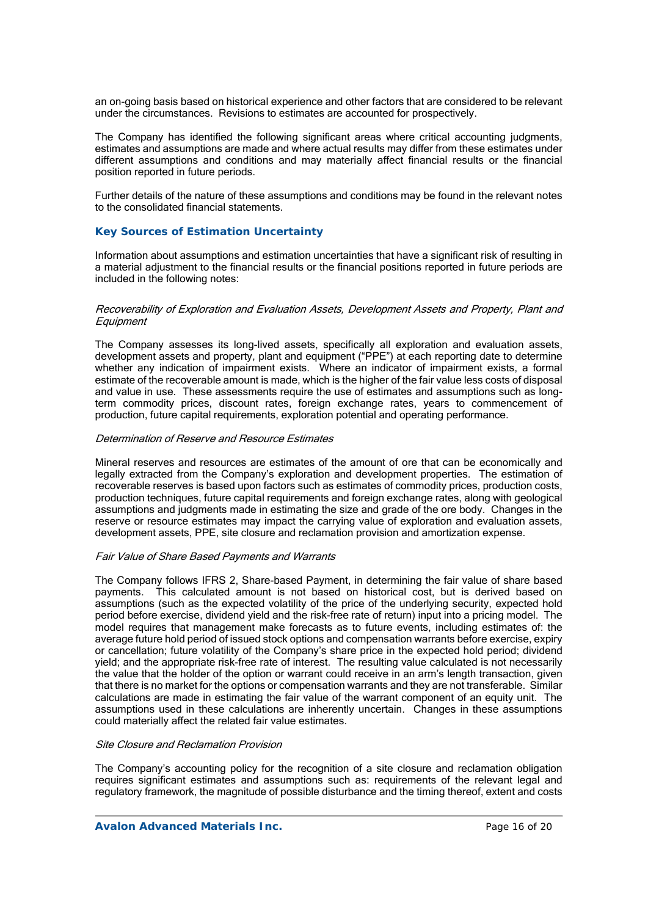an on-going basis based on historical experience and other factors that are considered to be relevant under the circumstances. Revisions to estimates are accounted for prospectively.

The Company has identified the following significant areas where critical accounting judgments, estimates and assumptions are made and where actual results may differ from these estimates under different assumptions and conditions and may materially affect financial results or the financial position reported in future periods.

Further details of the nature of these assumptions and conditions may be found in the relevant notes to the consolidated financial statements.

### *Key Sources of Estimation Uncertainty*

Information about assumptions and estimation uncertainties that have a significant risk of resulting in a material adjustment to the financial results or the financial positions reported in future periods are included in the following notes:

#### Recoverability of Exploration and Evaluation Assets, Development Assets and Property, Plant and **Equipment**

The Company assesses its long-lived assets, specifically all exploration and evaluation assets, development assets and property, plant and equipment ("PPE") at each reporting date to determine whether any indication of impairment exists. Where an indicator of impairment exists, a formal estimate of the recoverable amount is made, which is the higher of the fair value less costs of disposal and value in use. These assessments require the use of estimates and assumptions such as longterm commodity prices, discount rates, foreign exchange rates, years to commencement of production, future capital requirements, exploration potential and operating performance.

#### Determination of Reserve and Resource Estimates

Mineral reserves and resources are estimates of the amount of ore that can be economically and legally extracted from the Company's exploration and development properties. The estimation of recoverable reserves is based upon factors such as estimates of commodity prices, production costs, production techniques, future capital requirements and foreign exchange rates, along with geological assumptions and judgments made in estimating the size and grade of the ore body. Changes in the reserve or resource estimates may impact the carrying value of exploration and evaluation assets, development assets, PPE, site closure and reclamation provision and amortization expense.

#### Fair Value of Share Based Payments and Warrants

The Company follows IFRS 2, Share-based Payment, in determining the fair value of share based payments. This calculated amount is not based on historical cost, but is derived based on assumptions (such as the expected volatility of the price of the underlying security, expected hold period before exercise, dividend yield and the risk-free rate of return) input into a pricing model. The model requires that management make forecasts as to future events, including estimates of: the average future hold period of issued stock options and compensation warrants before exercise, expiry or cancellation; future volatility of the Company's share price in the expected hold period; dividend yield; and the appropriate risk-free rate of interest. The resulting value calculated is not necessarily the value that the holder of the option or warrant could receive in an arm's length transaction, given that there is no market for the options or compensation warrants and they are not transferable. Similar calculations are made in estimating the fair value of the warrant component of an equity unit. The assumptions used in these calculations are inherently uncertain. Changes in these assumptions could materially affect the related fair value estimates.

#### Site Closure and Reclamation Provision

The Company's accounting policy for the recognition of a site closure and reclamation obligation requires significant estimates and assumptions such as: requirements of the relevant legal and regulatory framework, the magnitude of possible disturbance and the timing thereof, extent and costs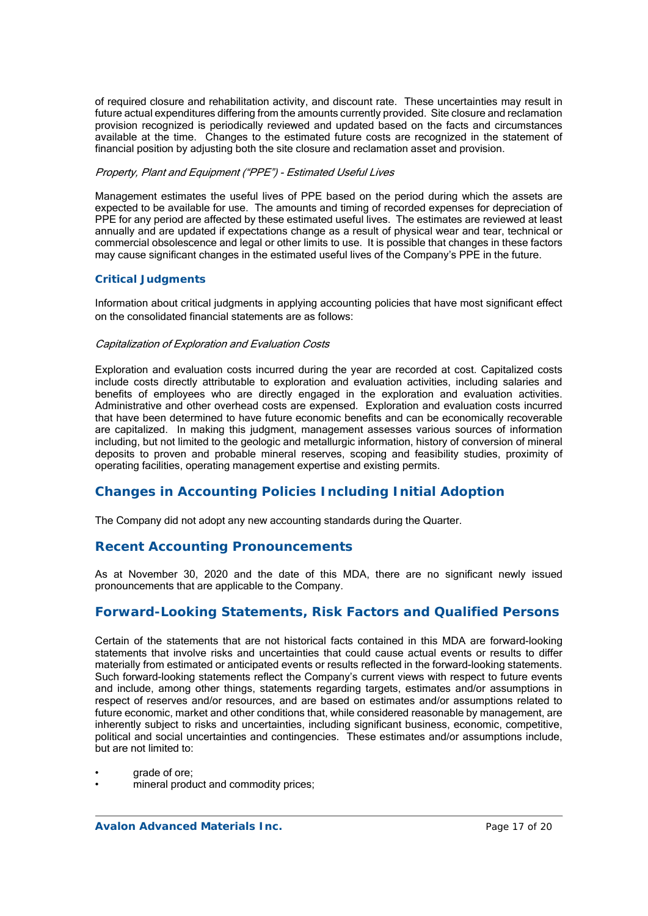of required closure and rehabilitation activity, and discount rate. These uncertainties may result in future actual expenditures differing from the amounts currently provided. Site closure and reclamation provision recognized is periodically reviewed and updated based on the facts and circumstances available at the time. Changes to the estimated future costs are recognized in the statement of financial position by adjusting both the site closure and reclamation asset and provision.

### Property, Plant and Equipment ("PPE") - Estimated Useful Lives

Management estimates the useful lives of PPE based on the period during which the assets are expected to be available for use. The amounts and timing of recorded expenses for depreciation of PPE for any period are affected by these estimated useful lives. The estimates are reviewed at least annually and are updated if expectations change as a result of physical wear and tear, technical or commercial obsolescence and legal or other limits to use. It is possible that changes in these factors may cause significant changes in the estimated useful lives of the Company's PPE in the future.

### *Critical Judgments*

Information about critical judgments in applying accounting policies that have most significant effect on the consolidated financial statements are as follows:

#### Capitalization of Exploration and Evaluation Costs

Exploration and evaluation costs incurred during the year are recorded at cost. Capitalized costs include costs directly attributable to exploration and evaluation activities, including salaries and benefits of employees who are directly engaged in the exploration and evaluation activities. Administrative and other overhead costs are expensed. Exploration and evaluation costs incurred that have been determined to have future economic benefits and can be economically recoverable are capitalized. In making this judgment, management assesses various sources of information including, but not limited to the geologic and metallurgic information, history of conversion of mineral deposits to proven and probable mineral reserves, scoping and feasibility studies, proximity of operating facilities, operating management expertise and existing permits.

## **Changes in Accounting Policies Including Initial Adoption**

The Company did not adopt any new accounting standards during the Quarter.

## **Recent Accounting Pronouncements**

As at November 30, 2020 and the date of this MDA, there are no significant newly issued pronouncements that are applicable to the Company.

## **Forward-Looking Statements, Risk Factors and Qualified Persons**

Certain of the statements that are not historical facts contained in this MDA are forward-looking statements that involve risks and uncertainties that could cause actual events or results to differ materially from estimated or anticipated events or results reflected in the forward-looking statements. Such forward-looking statements reflect the Company's current views with respect to future events and include, among other things, statements regarding targets, estimates and/or assumptions in respect of reserves and/or resources, and are based on estimates and/or assumptions related to future economic, market and other conditions that, while considered reasonable by management, are inherently subject to risks and uncertainties, including significant business, economic, competitive, political and social uncertainties and contingencies. These estimates and/or assumptions include, but are not limited to:

- grade of ore;
- mineral product and commodity prices: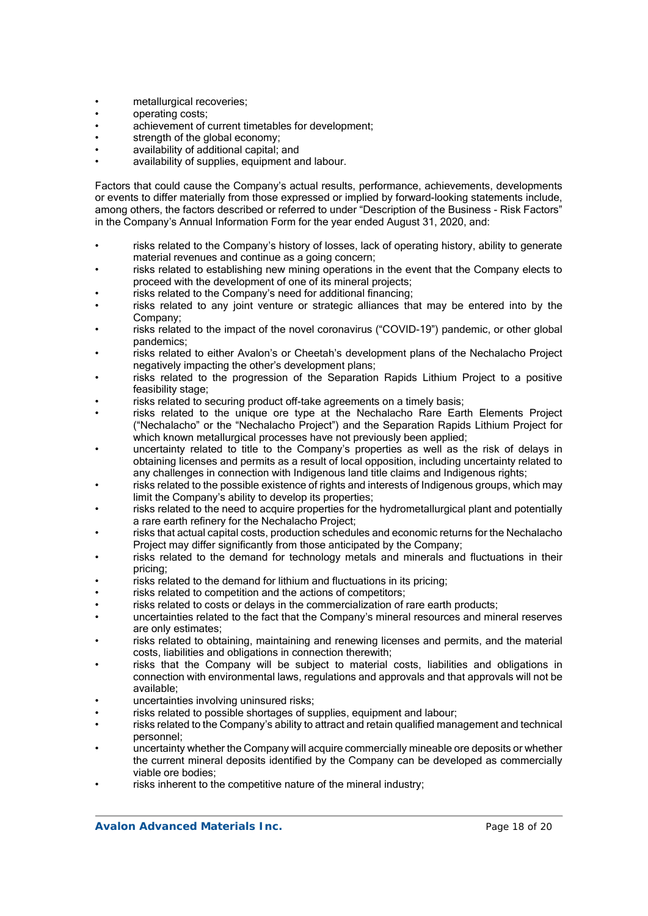- metallurgical recoveries;
- operating costs;
- achievement of current timetables for development;
- strength of the global economy;
- availability of additional capital; and
- availability of supplies, equipment and labour.

Factors that could cause the Company's actual results, performance, achievements, developments or events to differ materially from those expressed or implied by forward-looking statements include, among others, the factors described or referred to under "Description of the Business - Risk Factors" in the Company's Annual Information Form for the year ended August 31, 2020, and:

- risks related to the Company's history of losses, lack of operating history, ability to generate material revenues and continue as a going concern;
- risks related to establishing new mining operations in the event that the Company elects to proceed with the development of one of its mineral projects;
- risks related to the Company's need for additional financing;
- risks related to any joint venture or strategic alliances that may be entered into by the Company;
- risks related to the impact of the novel coronavirus ("COVID-19") pandemic, or other global pandemics;
- risks related to either Avalon's or Cheetah's development plans of the Nechalacho Project negatively impacting the other's development plans;
- risks related to the progression of the Separation Rapids Lithium Project to a positive feasibility stage;
- risks related to securing product off-take agreements on a timely basis;
- risks related to the unique ore type at the Nechalacho Rare Earth Elements Project ("Nechalacho" or the "Nechalacho Project") and the Separation Rapids Lithium Project for which known metallurgical processes have not previously been applied;
- uncertainty related to title to the Company's properties as well as the risk of delays in obtaining licenses and permits as a result of local opposition, including uncertainty related to any challenges in connection with Indigenous land title claims and Indigenous rights:
- risks related to the possible existence of rights and interests of Indigenous groups, which may limit the Company's ability to develop its properties;
- risks related to the need to acquire properties for the hydrometallurgical plant and potentially a rare earth refinery for the Nechalacho Project;
- risks that actual capital costs, production schedules and economic returns for the Nechalacho Project may differ significantly from those anticipated by the Company;
- risks related to the demand for technology metals and minerals and fluctuations in their pricing;
- risks related to the demand for lithium and fluctuations in its pricing;
- risks related to competition and the actions of competitors:
- risks related to costs or delays in the commercialization of rare earth products;
- uncertainties related to the fact that the Company's mineral resources and mineral reserves are only estimates;
- risks related to obtaining, maintaining and renewing licenses and permits, and the material costs, liabilities and obligations in connection therewith;
- risks that the Company will be subject to material costs, liabilities and obligations in connection with environmental laws, regulations and approvals and that approvals will not be available;
- uncertainties involving uninsured risks;
- risks related to possible shortages of supplies, equipment and labour;
- risks related to the Company's ability to attract and retain qualified management and technical personnel;
- uncertainty whether the Company will acquire commercially mineable ore deposits or whether the current mineral deposits identified by the Company can be developed as commercially viable ore bodies;
- risks inherent to the competitive nature of the mineral industry: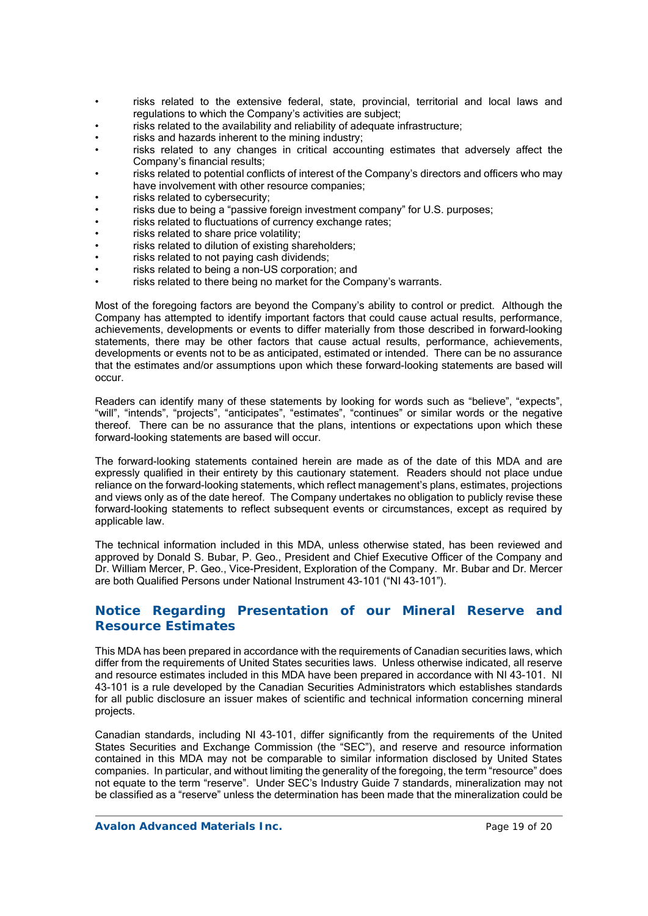- risks related to the extensive federal, state, provincial, territorial and local laws and regulations to which the Company's activities are subject;
- risks related to the availability and reliability of adequate infrastructure;
- risks and hazards inherent to the mining industry;
- risks related to any changes in critical accounting estimates that adversely affect the Company's financial results;
- risks related to potential conflicts of interest of the Company's directors and officers who may have involvement with other resource companies;
- risks related to cybersecurity;
- risks due to being a "passive foreign investment company" for U.S. purposes;
- risks related to fluctuations of currency exchange rates;
- risks related to share price volatility;
- risks related to dilution of existing shareholders;
- risks related to not paying cash dividends;
- risks related to being a non-US corporation; and
- risks related to there being no market for the Company's warrants.

Most of the foregoing factors are beyond the Company's ability to control or predict. Although the Company has attempted to identify important factors that could cause actual results, performance, achievements, developments or events to differ materially from those described in forward-looking statements, there may be other factors that cause actual results, performance, achievements, developments or events not to be as anticipated, estimated or intended. There can be no assurance that the estimates and/or assumptions upon which these forward-looking statements are based will occur.

Readers can identify many of these statements by looking for words such as "believe", "expects", "will", "intends", "projects", "anticipates", "estimates", "continues" or similar words or the negative thereof. There can be no assurance that the plans, intentions or expectations upon which these forward-looking statements are based will occur.

The forward-looking statements contained herein are made as of the date of this MDA and are expressly qualified in their entirety by this cautionary statement. Readers should not place undue reliance on the forward-looking statements, which reflect management's plans, estimates, projections and views only as of the date hereof. The Company undertakes no obligation to publicly revise these forward-looking statements to reflect subsequent events or circumstances, except as required by applicable law.

The technical information included in this MDA, unless otherwise stated, has been reviewed and approved by Donald S. Bubar, P. Geo., President and Chief Executive Officer of the Company and Dr. William Mercer, P. Geo., Vice-President, Exploration of the Company. Mr. Bubar and Dr. Mercer are both Qualified Persons under National Instrument 43-101 ("NI 43-101").

# **Notice Regarding Presentation of our Mineral Reserve and Resource Estimates**

This MDA has been prepared in accordance with the requirements of Canadian securities laws, which differ from the requirements of United States securities laws. Unless otherwise indicated, all reserve and resource estimates included in this MDA have been prepared in accordance with NI 43-101. NI 43-101 is a rule developed by the Canadian Securities Administrators which establishes standards for all public disclosure an issuer makes of scientific and technical information concerning mineral projects.

Canadian standards, including NI 43-101, differ significantly from the requirements of the United States Securities and Exchange Commission (the "SEC"), and reserve and resource information contained in this MDA may not be comparable to similar information disclosed by United States companies. In particular, and without limiting the generality of the foregoing, the term "resource" does not equate to the term "reserve". Under SEC's Industry Guide 7 standards, mineralization may not be classified as a "reserve" unless the determination has been made that the mineralization could be